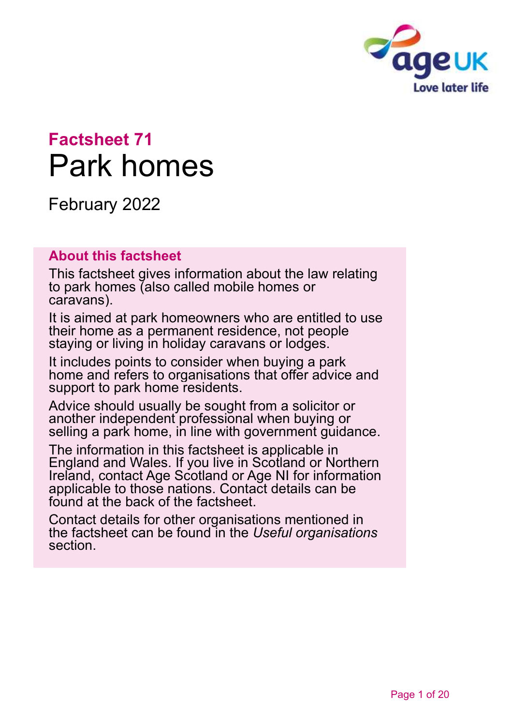

# **Factsheet 71** Park homes

February 2022

#### **About this factsheet**

This factsheet gives information about the law relating to park homes (also called mobile homes or caravans).

It is aimed at park homeowners who are entitled to use their home as a permanent residence, not people staying or living in holiday caravans or lodges.

It includes points to consider when buying a park home and refers to organisations that offer advice and support to park home residents.

Advice should usually be sought from a solicitor or another independent professional when buying or selling a park home, in line with government guidance.

The information in this factsheet is applicable in England and Wales. If you live in Scotland or Northern Ireland, contact [Age Scotland or Age NI](#page-18-0) for information applicable to those nations. Contact details can be found at the back of the factsheet.

Contact details for other organisations mentioned in the factsheet can be found in the *[Useful organisations](#page-16-0)* section.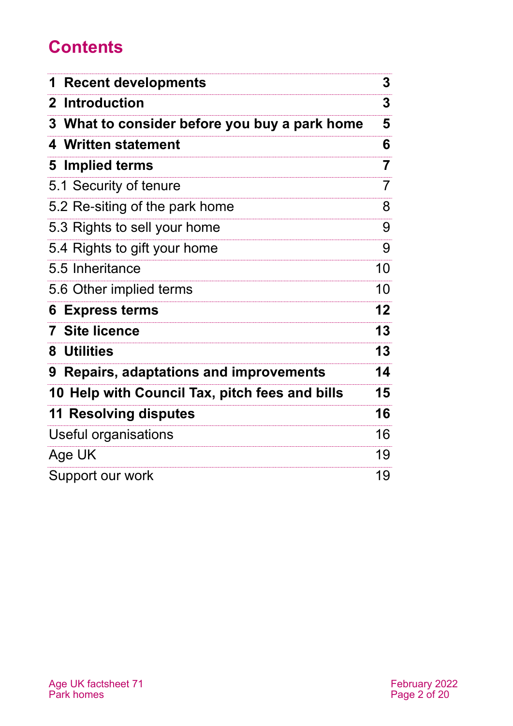# **Contents**

| <b>Recent developments</b>                       | 3              |
|--------------------------------------------------|----------------|
| <b>Introduction</b><br>$\mathbf 2$               | 3              |
| What to consider before you buy a park home<br>3 | 5              |
| <b>Written statement</b><br>4                    | 6              |
| Implied terms<br>5                               | $\overline{7}$ |
| 5.1 Security of tenure                           | 7              |
| 5.2 Re-siting of the park home                   | 8              |
| 5.3 Rights to sell your home                     | 9              |
| 5.4 Rights to gift your home                     | 9              |
| 5.5 Inheritance                                  | 10             |
| 5.6 Other implied terms                          | 10             |
| <b>Express terms</b><br>6                        | 12             |
| <b>Site licence</b><br>7                         | 13             |
| 8 Utilities                                      | 13             |
| 9 Repairs, adaptations and improvements          | 14             |
| 10 Help with Council Tax, pitch fees and bills   | 15             |
| <b>11 Resolving disputes</b>                     | 16             |
| Useful organisations                             | 16             |
| Age UK                                           | 19             |
| Support our work                                 | 19             |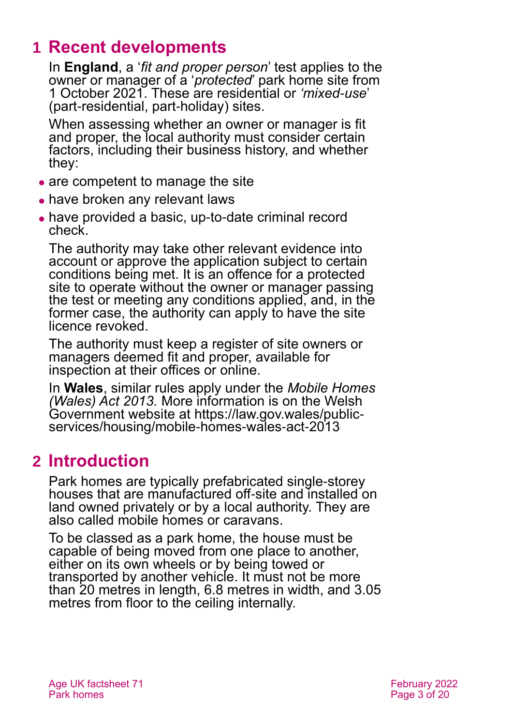# <span id="page-2-0"></span>**1 Recent developments**

In **England**, a '*fit and proper person*' test applies to the owner or manager of a '*protected*' park home site from 1 October 2021. These are residential or *'mixed-use*' (part-residential, part-holiday) sites.

When assessing whether an owner or manager is fit and proper, the local authority must consider certain factors, including their business history, and whether they:

- are competent to manage the site
- have broken any relevant laws
- ⚫ have provided a basic, up-to-date criminal record check.

The authority may take other relevant evidence into account or approve the application subject to certain conditions being met. It is an offence for a protected site to operate without the owner or manager passing the test or meeting any conditions applied, and, in the former case, the authority can apply to have the site licence revoked.

The authority must keep a register of site owners or managers deemed fit and proper, available for inspection at their offices or online.

In **Wales**, similar rules apply under the *Mobile Homes (Wales) Act 2013.* More information is on the Welsh Government website at [https://law.gov.wales/public](https://law.gov.wales/public-services/housing/mobile-homes-wales-act-2013)[services/housing/mobile-homes-wales-act-2013](https://law.gov.wales/public-services/housing/mobile-homes-wales-act-2013)

### <span id="page-2-1"></span>**2 Introduction**

Park homes are typically prefabricated single-storey houses that are manufactured off-site and installed on land owned privately or by a local authority. They are also called mobile homes or caravans.

To be classed as a park home, the house must be capable of being moved from one place to another, either on its own wheels or by being towed or transported by another vehicle. It must not be more than 20 metres in length, 6.8 metres in width, and 3.05 metres from floor to the ceiling internally.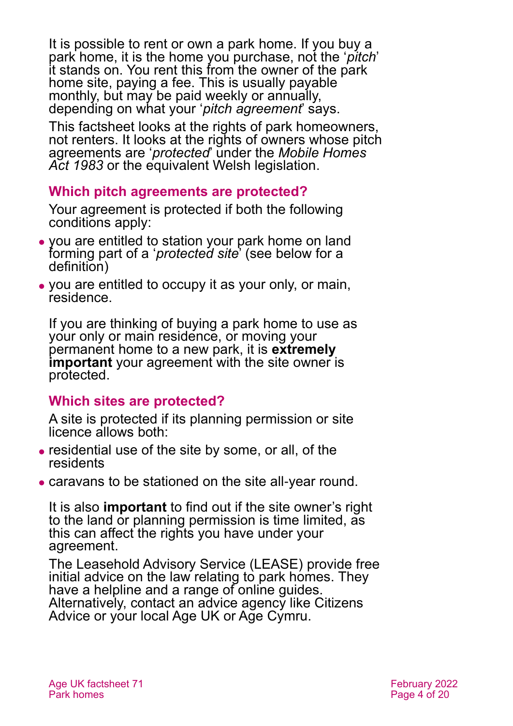It is possible to rent or own a park home. If you buy a park home, it is the home you purchase, not the '*pitch*' it stands on. You rent this from the owner of the park home site, paying a fee. This is usually payable monthly, but may be paid weekly or annually, depending on what your '*pitch agreement*' says.

This factsheet looks at the rights of park homeowners, not renters. It looks at the rights of owners whose pitch agreements are '*protected*' under the *[Mobile Homes](https://www.legislation.gov.uk/ukpga/1983/34/contents)  [Act 1983](https://www.legislation.gov.uk/ukpga/1983/34/contents)* or the equivalent Welsh legislation.

#### **Which pitch agreements are protected?**

Your agreement is protected if both the following conditions apply:

- ⚫ you are entitled to station your park home on land forming part of a '*protected site*' (see below for a definition)
- ⚫ you are entitled to occupy it as your only, or main, residence.

If you are thinking of buying a park home to use as your only or main residence, or moving your permanent home to a new park, it is **extremely important** your agreement with the site owner is protected.

#### **Which sites are protected?**

A site is protected if its planning permission or site licence allows both:

- ⚫ residential use of the site by some, or all, of the residents
- ⚫ caravans to be stationed on the site all-year round.

It is also **important** to find out if the site owner's right to the land or planning permission is time limited, as this can affect the rights you have under your agreement.

The [Leasehold Advisory Service \(LEASE\)](https://parkhomes.lease-advice.org/) provide free initial advice on the law relating to park homes. They have a helpline and a range of online guides. Alternatively, contact an advice agency like [Citizens](http://www.citizensadvice.org.uk/)  [Advice](http://www.citizensadvice.org.uk/) or your local [Age UK](#page-18-1) or [Age Cymru.](#page-18-3)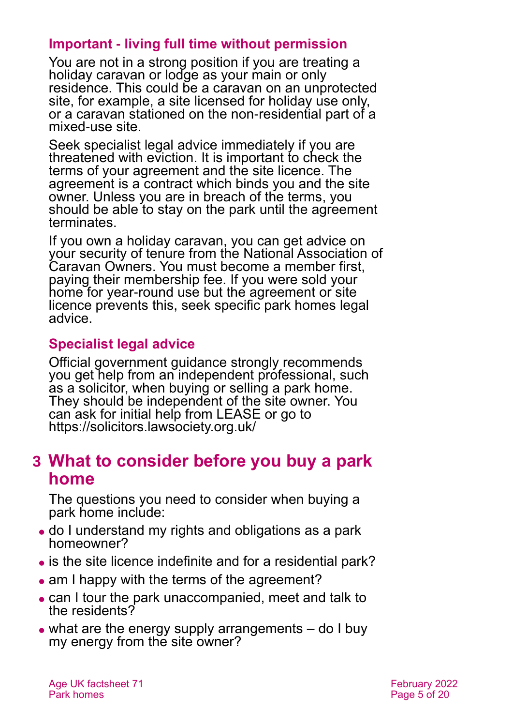#### **Important - living full time without permission**

You are not in a strong position if you are treating a holiday caravan or lodge as your main or only residence. This could be a caravan on an unprotected site, for example, a site licensed for holiday use only, or a caravan stationed on the non-residential part of a mixed-use site.

Seek specialist legal advice immediately if you are threatened with eviction. It is important to check the terms of your agreement and the site licence. The agreement is a contract which binds you and the site owner. Unless you are in breach of the terms, you should be able to stay on the park until the agreement terminates.

If you own a holiday caravan, you can get advice on your security of tenure from the [National Association of](https://www.nacoservices.com/)  [Caravan Owners.](https://www.nacoservices.com/) You must become a member first, paying their membership fee. If you were sold your home for year-round use but the agreement or site licence prevents this, seek specific park homes legal advice.

#### **Specialist legal advice**

Official government guidance strongly recommends you get help from an independent professional, such as a solicitor, when buying or selling a park home. They should be independent of the site owner. You can ask for initial help from LEASE or go to <https://solicitors.lawsociety.org.uk/>

### <span id="page-4-0"></span>**3 What to consider before you buy a park home**

The questions you need to consider when buying a park home include:

- ⚫ do I understand my rights and obligations as a park homeowner?
- is the site licence indefinite and for a residential park?
- am I happy with the terms of the agreement?
- ⚫ can I tour the park unaccompanied, meet and talk to the residents?
- what are the energy supply arrangements do I buy my energy from the site owner?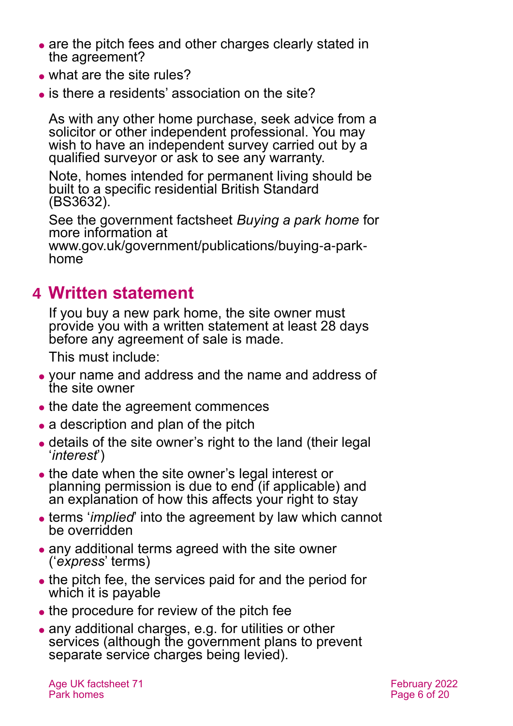- are the pitch fees and other charges clearly stated in the agreement?
- what are the site rules?
- ⚫ is there a residents' association on the site?

As with any other home purchase, seek advice from a solicitor or other independent professional. You may wish to have an independent survey carried out by a qualified surveyor or ask to see any warranty.

Note, homes intended for permanent living should be built to a specific residential British Standard (BS3632).

See the government factsheet *Buying a park home* for more information at

[www.gov.uk/government/publications/buying-a-park](http://www.gov.uk/government/publications/buying-a-park-home)[home](http://www.gov.uk/government/publications/buying-a-park-home)

### <span id="page-5-0"></span>**4 Written statement**

If you buy a new park home, the site owner must provide you with a written statement at least 28 days before any agreement of sale is made.

This must include:

- ⚫ your name and address and the name and address of the site owner
- the date the agreement commences
- a description and plan of the pitch
- ⚫ details of the site owner's right to the land (their legal '*interest*')
- the date when the site owner's legal interest or planning permission is due to end (if applicable) and an explanation of how this affects your right to stay
- ⚫ terms '*implied*' into the agreement by law which cannot be overridden
- any additional terms agreed with the site owner ('*express*' terms)
- the pitch fee, the services paid for and the period for which it is payable
- the procedure for review of the pitch fee
- ⚫ any additional charges, e.g. for utilities or other services (although the government plans to prevent separate service charges being levied).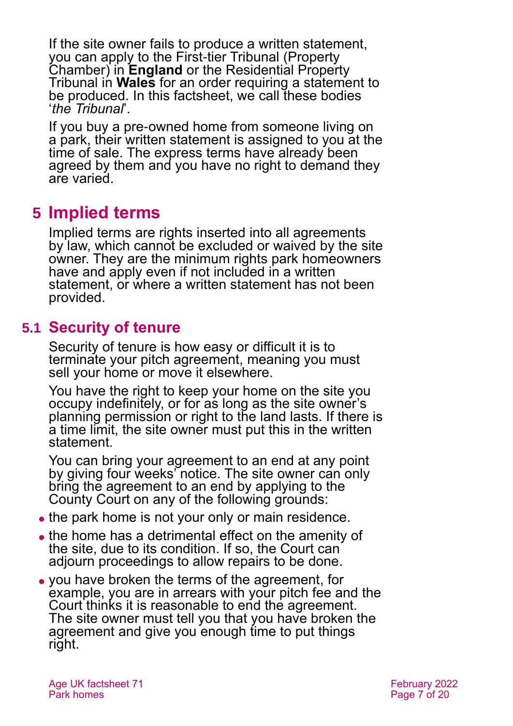If the site owner fails to produce a written statement, you can apply to the [First-tier Tribunal \(Property](#page-16-1)  [Chamber\)](#page-16-1) in **England** or the [Residential Property](#page-17-0)  [Tribunal](#page-17-0) in **Wales** for an order requiring a statement to be produced. In this factsheet, we call these bodies '*the Tribunal*'.

If you buy a pre-owned home from someone living on a park, their written statement is assigned to you at the time of sale. The express terms have already been agreed by them and you have no right to demand they are varied.

# <span id="page-6-0"></span>**5 Implied terms**

Implied terms are rights inserted into all agreements by law, which cannot be excluded or waived by the site owner. They are the minimum rights park homeowners have and apply even if not included in a written statement, or where a written statement has not been provided.

#### **5.1 Security of tenure**

Security of tenure is how easy or difficult it is to terminate your pitch agreement, meaning you must sell your home or move it elsewhere.

You have the right to keep your home on the site you occupy indefinitely, or for as long as the site owner's planning permission or right to the land lasts. If there is a time limit, the site owner must put this in the written statement.

You can bring your agreement to an end at any point by giving four weeks' notice. The site owner can only bring the agreement to an end by applying to the County Court on any of the following grounds:

- the park home is not your only or main residence.
- ⚫ the home has a detrimental effect on the amenity of the site, due to its condition. If so, the Court can adjourn proceedings to allow repairs to be done.
- ⚫ you have broken the terms of the agreement, for example, you are in arrears with your pitch fee and the Court thinks it is reasonable to end the agreement. The site owner must tell you that you have broken the agreement and give you enough time to put things right.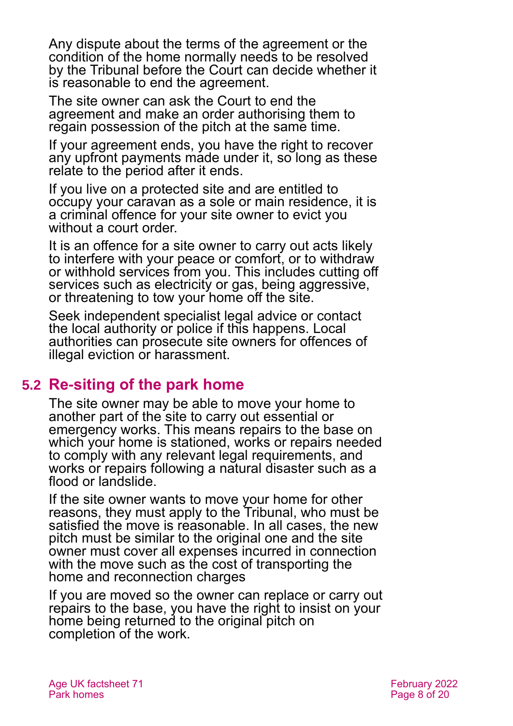Any dispute about the terms of the agreement or the condition of the home normally needs to be resolved by the Tribunal before the Court can decide whether it is reasonable to end the agreement.

The site owner can ask the Court to end the agreement and make an order authorising them to regain possession of the pitch at the same time.

If your agreement ends, you have the right to recover any upfront payments made under it, so long as these relate to the period after it ends.

If you live on a protected site and are entitled to occupy your caravan as a sole or main residence, it is a criminal offence for your site owner to evict you without a court order.

It is an offence for a site owner to carry out acts likely to interfere with your peace or comfort, or to withdraw or withhold services from you. This includes cutting off services such as electricity or gas, being aggressive, or threatening to tow your home off the site.

Seek independent specialist legal advice or contact the local authority or police if this happens. Local authorities can prosecute site owners for offences of illegal eviction or harassment.

### **5.2 Re-siting of the park home**

The site owner may be able to move your home to another part of the site to carry out essential or emergency works. This means repairs to the base on which your home is stationed, works or repairs needed to comply with any relevant legal requirements, and works or repairs following a natural disaster such as a flood or landslide.

If the site owner wants to move your home for other reasons, they must apply to the Tribunal, who must be satisfied the move is reasonable. In all cases, the new pitch must be similar to the original one and the site owner must cover all expenses incurred in connection with the move such as the cost of transporting the home and reconnection charges

If you are moved so the owner can replace or carry out repairs to the base, you have the right to insist on your home being returned to the original pitch on completion of the work.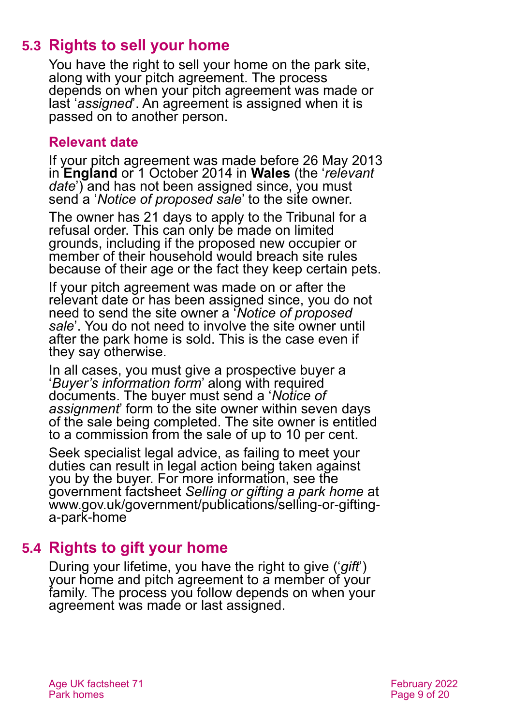### **5.3 Rights to sell your home**

You have the right to sell your home on the park site, along with your pitch agreement. The process depends on when your pitch agreement was made or last '*assigned*'. An agreement is assigned when it is passed on to another person.

#### **Relevant date**

If your pitch agreement was made before 26 May 2013 in **England** or 1 October 2014 in **Wales** (the '*relevant date*') and has not been assigned since, you must send a '*Notice of proposed sale*' to the site owner.

The owner has 21 days to apply to the Tribunal for a refusal order. This can only be made on limited grounds, including if the proposed new occupier or member of their household would breach site rules because of their age or the fact they keep certain pets.

If your pitch agreement was made on or after the relevant date or has been assigned since, you do not need to send the site owner a '*Notice of proposed sale*'. You do not need to involve the site owner until after the park home is sold. This is the case even if they say otherwise.

In all cases, you must give a prospective buyer a '*Buyer's information form*' along with required documents. The buyer must send a '*Notice of assignment*' form to the site owner within seven days of the sale being completed. The site owner is entitled to a commission from the sale of up to 10 per cent.

Seek specialist legal advice, as failing to meet your duties can result in legal action being taken against you by the buyer. For more information, see the government factsheet *Selling or gifting a park home* at [www.gov.uk/government/publications/selling-or-gifting](http://www.gov.uk/government/publications/selling-or-gifting-a-park-home)[a-park-home](http://www.gov.uk/government/publications/selling-or-gifting-a-park-home)

### **5.4 Rights to gift your home**

During your lifetime, you have the right to give ('*gift*') your home and pitch agreement to a member of your family. The process you follow depends on when your agreement was made or last assigned.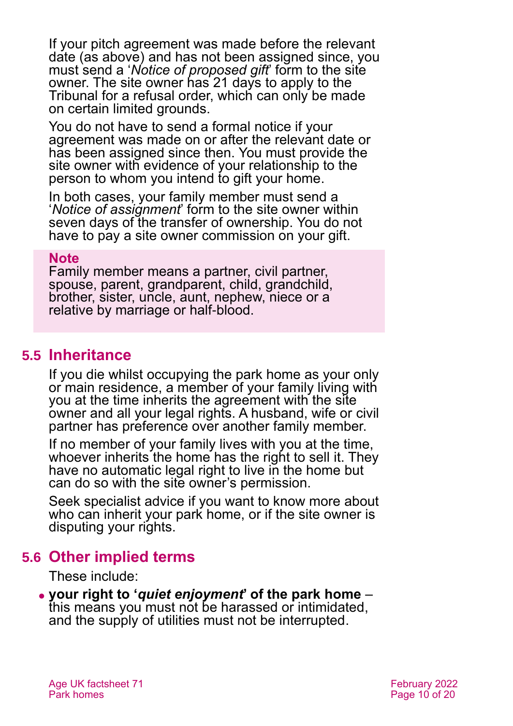If your pitch agreement was made before the relevant date (as above) and has not been assigned since, you must send a '*Notice of proposed gift*' form to the site owner. The site owner has 21 days to apply to the Tribunal for a refusal order, which can only be made on certain limited grounds.

You do not have to send a formal notice if your agreement was made on or after the relevant date or has been assigned since then. You must provide the site owner with evidence of your relationship to the person to whom you intend to gift your home.

In both cases, your family member must send a '*Notice of assignment*' form to the site owner within seven days of the transfer of ownership. You do not have to pay a site owner commission on your gift.

#### **Note**

Family member means a partner, civil partner, spouse, parent, grandparent, child, grandchild, brother, sister, uncle, aunt, nephew, niece or a relative by marriage or half-blood.

#### **5.5 Inheritance**

If you die whilst occupying the park home as your only or main residence, a member of your family living with you at the time inherits the agreement with the site owner and all your legal rights. A husband, wife or civil partner has preference over another family member.

If no member of your family lives with you at the time, whoever inherits the home has the right to sell it. They have no automatic legal right to live in the home but can do so with the site owner's permission.

Seek specialist advice if you want to know more about who can inherit your park home, or if the site owner is disputing your rights.

#### **5.6 Other implied terms**

These include:

⚫ **your right to '***quiet enjoyment***' of the park home** – this means you must not be harassed or intimidated, and the supply of utilities must not be interrupted.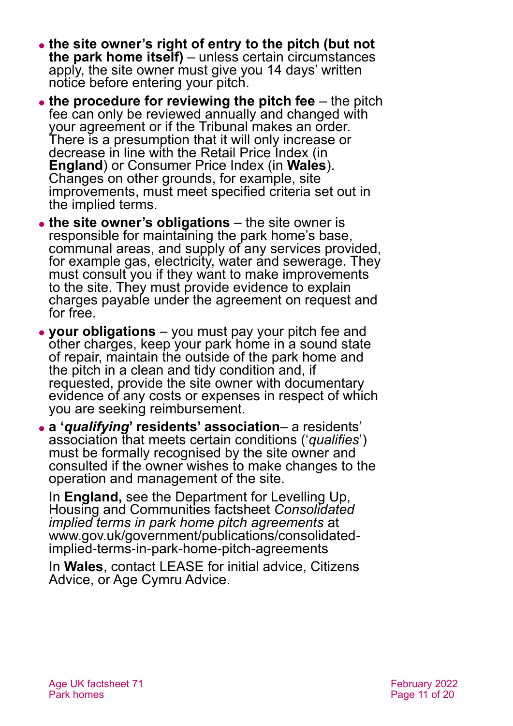- ⚫ **the site owner's right of entry to the pitch (but not the park home itself)** – unless certain circumstances apply, the site owner must give you 14 days' written notice before entering your pitch.
- ⚫ **the procedure for reviewing the pitch fee** the pitch fee can only be reviewed annually and changed with your agreement or if the Tribunal makes an order. There is a presumption that it will only increase or decrease in line with the Retail Price Index (in **England**) or Consumer Price Index (in **Wales**). Changes on other grounds, for example, site improvements, must meet specified criteria set out in the implied terms.
- ⚫ **the site owner's obligations** the site owner is responsible for maintaining the park home's base, communal areas, and supply of any services provided, for example gas, electricity, water and sewerage. They must consult you if they want to make improvements to the site. They must provide evidence to explain charges payable under the agreement on request and for free.
- ⚫ **your obligations** you must pay your pitch fee and other charges, keep your park home in a sound state of repair, maintain the outside of the park home and the pitch in a clean and tidy condition and, if requested, provide the site owner with documentary evidence of any costs or expenses in respect of which you are seeking reimbursement.
- ⚫ **a '***qualifying***' residents' association** a residents' association that meets certain conditions ('*qualifies*') must be formally recognised by the site owner and consulted if the owner wishes to make changes to the operation and management of the site.

In **England,** see the Department for Levelling Up, Housing and Communities factsheet *[Consolidated](https://www.gov.uk/government/publications/consolidated-implied-terms-in-park-home-pitch-agreements)  [implied terms in park home pitch agreements](https://www.gov.uk/government/publications/consolidated-implied-terms-in-park-home-pitch-agreements)* at [www.gov.uk/government/publications/consolidated](http://www.gov.uk/government/publications/consolidated-implied-terms-in-park-home-pitch-agreements)[implied-terms-in-park-home-pitch-agreements](http://www.gov.uk/government/publications/consolidated-implied-terms-in-park-home-pitch-agreements)

In **Wales**, contact [LEASE](https://parkhomes.lease-advice.org/) for initial advice, [Citizens](http://www.citizensadvice.org.uk/)  [Advice,](http://www.citizensadvice.org.uk/) or [Age Cymru Advice.](#page-18-3)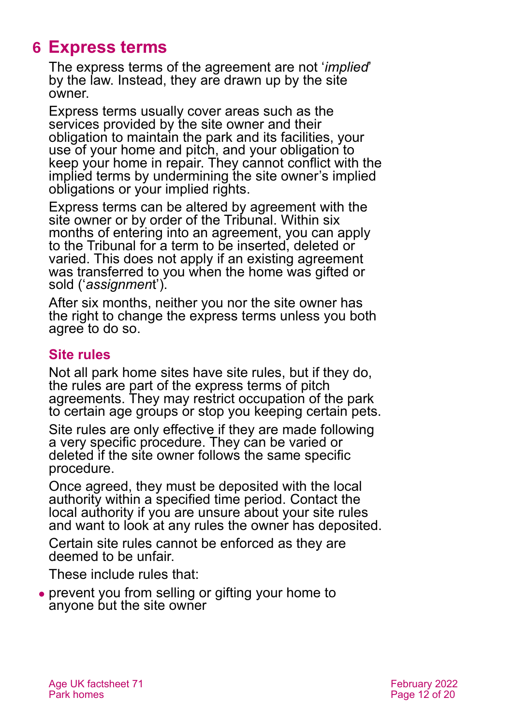# <span id="page-11-0"></span>**6 Express terms**

The express terms of the agreement are not '*implied*' by the law. Instead, they are drawn up by the site owner.

Express terms usually cover areas such as the services provided by the site owner and their obligation to maintain the park and its facilities, your use of your home and pitch, and your obligation to keep your home in repair. They cannot conflict with the implied terms by undermining the site owner's implied obligations or your implied rights.

Express terms can be altered by agreement with the site owner or by order of the Tribunal. Within six months of entering into an agreement, you can apply to the Tribunal for a term to be inserted, deleted or varied. This does not apply if an existing agreement was transferred to you when the home was gifted or sold ('*assignmen*t').

After six months, neither you nor the site owner has the right to change the express terms unless you both agree to do so.

#### **Site rules**

Not all park home sites have site rules, but if they do, the rules are part of the express terms of pitch agreements. They may restrict occupation of the park to certain age groups or stop you keeping certain pets.

Site rules are only effective if they are made following a very specific procedure. They can be varied or deleted if the site owner follows the same specific procedure.

Once agreed, they must be deposited with the local authority within a specified time period. Contact the local authority if you are unsure about your site rules and want to look at any rules the owner has deposited.

Certain site rules cannot be enforced as they are deemed to be unfair.

These include rules that:

⚫ prevent you from selling or gifting your home to anyone but the site owner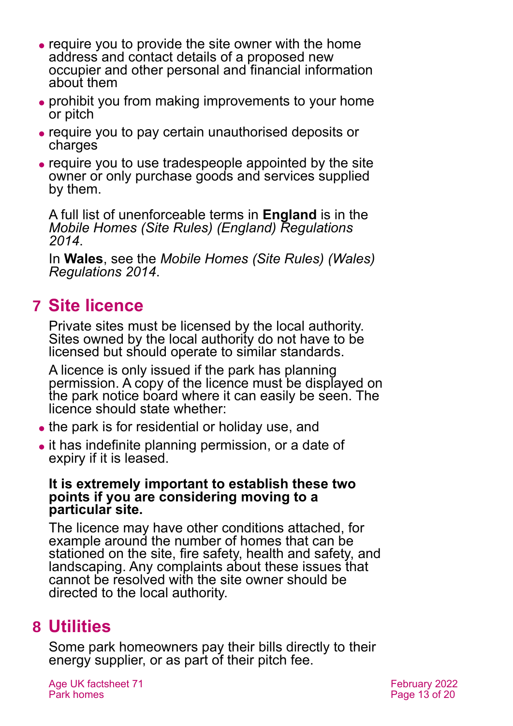- ⚫ require you to provide the site owner with the home address and contact details of a proposed new occupier and other personal and financial information about them
- ⚫ prohibit you from making improvements to your home or pitch
- ⚫ require you to pay certain unauthorised deposits or charges
- ⚫ require you to use tradespeople appointed by the site owner or only purchase goods and services supplied by them.

A full list of unenforceable terms in **England** is in the *[Mobile Homes \(Site Rules\) \(England\) Regulations](https://www.legislation.gov.uk/uksi/2014/5/contents/made)  [2014](https://www.legislation.gov.uk/uksi/2014/5/contents/made)*.

In **Wales**, see the *[Mobile Homes \(Site Rules\) \(Wales\)](http://senedd.assembly.wales/mgIssueHistoryHome.aspx?IId=10592)  [Regulations 2014](http://senedd.assembly.wales/mgIssueHistoryHome.aspx?IId=10592)*.

# <span id="page-12-0"></span>**7 Site licence**

Private sites must be licensed by the local authority. Sites owned by the local authority do not have to be licensed but should operate to similar standards.

A licence is only issued if the park has planning permission. A copy of the licence must be displayed on the park notice board where it can easily be seen. The licence should state whether:

- the park is for residential or holiday use, and
- ⚫ it has indefinite planning permission, or a date of expiry if it is leased.

#### **It is extremely important to establish these two points if you are considering moving to a particular site.**

The licence may have other conditions attached, for example around the number of homes that can be stationed on the site, fire safety, health and safety, and landscaping. Any complaints about these issues that cannot be resolved with the site owner should be directed to the local authority.

# <span id="page-12-1"></span>**8 Utilities**

Some park homeowners pay their bills directly to their energy supplier, or as part of their pitch fee.

Age UK factsheet 71 **February 2022** Park homes **Park homes** Page 13 of 20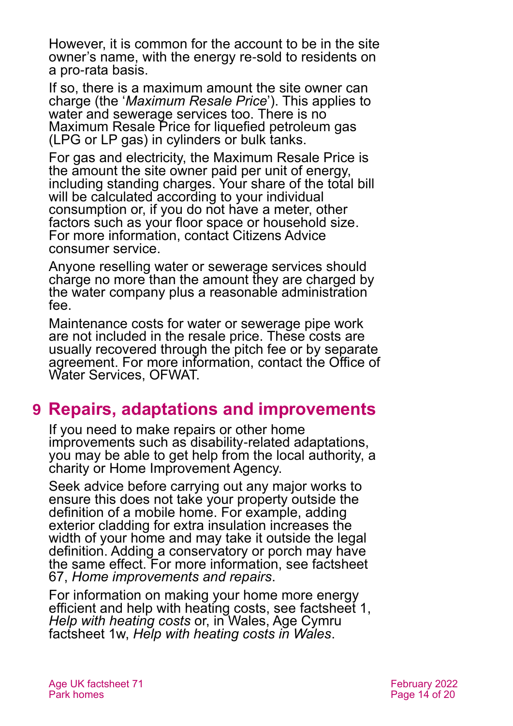However, it is common for the account to be in the site owner's name, with the energy re-sold to residents on a pro-rata basis.

If so, there is a maximum amount the site owner can charge (the '*Maximum Resale Price*'). This applies to water and sewerage services too. There is no Maximum Resale Price for liquefied petroleum gas (LPG or LP gas) in cylinders or bulk tanks.

For gas and electricity, the Maximum Resale Price is the amount the site owner paid per unit of energy, including standing charges. Your share of the total bill will be calculated according to your individual consumption or, if you do not have a meter, other factors such as your floor space or household size. For more information, contact Citizens Advice consumer service.

Anyone reselling water or sewerage services should charge no more than the amount they are charged by the water company plus a reasonable administration fee.

Maintenance costs for water or sewerage pipe work are not included in the resale price. These costs are usually recovered through the pitch fee or by separate agreement. For more information, contact the Office of Water Services, OFWAT.

# <span id="page-13-0"></span>**9 Repairs, adaptations and improvements**

If you need to make repairs or other home improvements such as disability-related adaptations, you may be able to get help from the local authority, a charity or Home Improvement Agency.

Seek advice before carrying out any major works to ensure this does not take your property outside the definition of a mobile home. For example, adding exterior cladding for extra insulation increases the width of your home and may take it outside the legal definition. Adding a conservatory or porch may have the same effect. For more information, [see factsheet](https://www.ageuk.org.uk/globalassets/age-uk/documents/factsheets/fs67_home_improvements_and_repairs_fcs.pdf)  67, *[Home improvements and repairs](https://www.ageuk.org.uk/globalassets/age-uk/documents/factsheets/fs67_home_improvements_and_repairs_fcs.pdf)*.

For information on making your home more energy efficient and help with heating costs, see [factsheet 1,](https://www.ageuk.org.uk/globalassets/age-uk/documents/factsheets/fs1_help_with_heating_costs_fcs.pdf)  *[Help with heating costs](https://www.ageuk.org.uk/globalassets/age-uk/documents/factsheets/fs1_help_with_heating_costs_fcs.pdf)* or, in Wales, Age Cymru factsheet 1w, *[Help with heating costs in Wales](https://www.ageuk.org.uk/globalassets/age-cymru/documents/information-guides-and-factsheets/fs1w.pdf)*.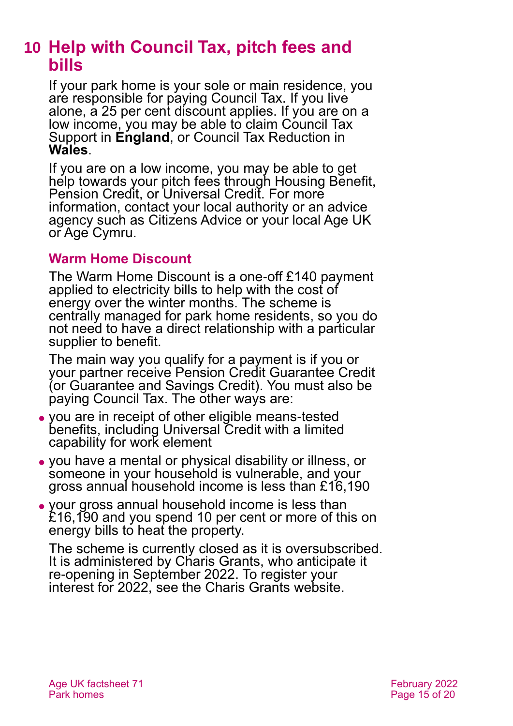# <span id="page-14-0"></span>**10 Help with Council Tax, pitch fees and bills**

If your park home is your sole or main residence, you are responsible for paying Council Tax. If you live alone, a 25 per cent discount applies. If you are on a low income, you may be able to claim Council Tax Support in **England**, or Council Tax Reduction in **Wales**.

If you are on a low income, you may be able to get help towards your pitch fees through Housing Benefit, Pension Credit, or Universal Credit. For more information, contact your local authority or an advice agency such as [Citizens Advice](http://www.citizensadvice.org.uk/) or your local [Age UK](#page-18-1) or [Age Cymru.](#page-18-3)

#### **Warm Home Discount**

The Warm Home Discount is a one-off £140 payment applied to electricity bills to help with the cost of energy over the winter months. The scheme is centrally managed for park home residents, so you do not need to have a direct relationship with a particular supplier to benefit.

The main way you qualify for a payment is if you or your partner receive Pension Credit Guarantee Credit (or Guarantee and Savings Credit). You must also be paying Council Tax. The other ways are:

- ⚫ you are in receipt of other eligible means-tested benefits, including Universal Credit with a limited capability for work element
- ⚫ you have a mental or physical disability or illness, or someone in your household is vulnerable, and your gross annual household income is less than £16,190
- ⚫ your gross annual household income is less than £16,190 and you spend 10 per cent or more of this on energy bills to heat the property.

The scheme is currently closed as it is oversubscribed. It is administered by Charis Grants, who anticipate it re-opening in September 2022. To register your interest for 2022, see the [Charis Grants website.](https://www.parkhomeswhd.com/)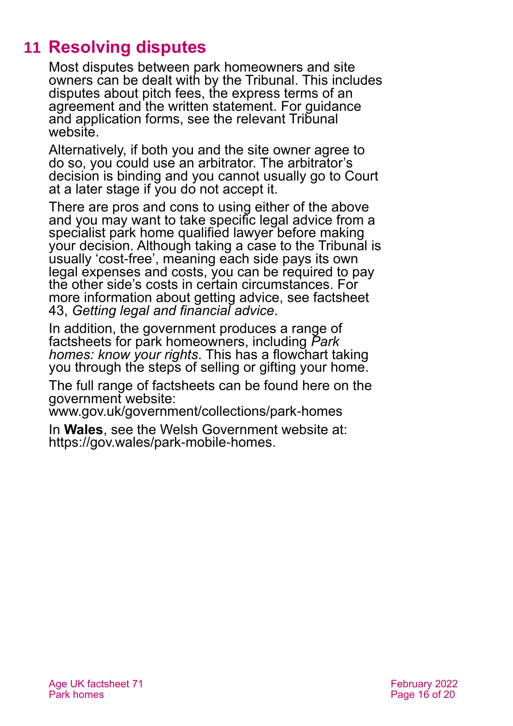# **11 Resolving disputes**

<span id="page-15-0"></span>Most disputes between park homeowners and site owners can be dealt with by the Tribunal. This includes disputes about pitch fees, the express terms of an agreement and the written statement. For guidance and application forms, see the relevant Tribunal website.

Alternatively, if both you and the site owner agree to do so, you could use an arbitrator. The arbitrator's decision is binding and you cannot usually go to Court at a later stage if you do not accept it.

There are pros and cons to using either of the above and you may want to take specific legal advice from a specialist park home qualified lawyer before making your decision. Although taking a case to the Tribunal is usually 'cost-free', meaning each side pays its own legal expenses and costs, you can be required to pay the other side's costs in certain circumstances. For more information about getting advice, see factsheet 43, *[Getting legal and financial advice](https://www.ageuk.org.uk/globalassets/age-uk/documents/factsheets/fs43-getting-legal-and-financial-advice.pdf)*.

In addition, the government produces a range of factsheets for park homeowners, including *[Park](https://www.gov.uk/government/publications/park-homes-know-your-rights)  [homes: know your rights](https://www.gov.uk/government/publications/park-homes-know-your-rights)*. This has a flowchart taking you through the steps of selling or gifting your home.

The full range of factsheets can be found here on the government website:

[www.gov.uk/government/collections/park-homes](https://www.gov.uk/government/collections/park-homes)

In **Wales**, see the Welsh Government website at: [https://gov.wales/park-mobile-homes.](https://gov.wales/park-mobile-homes)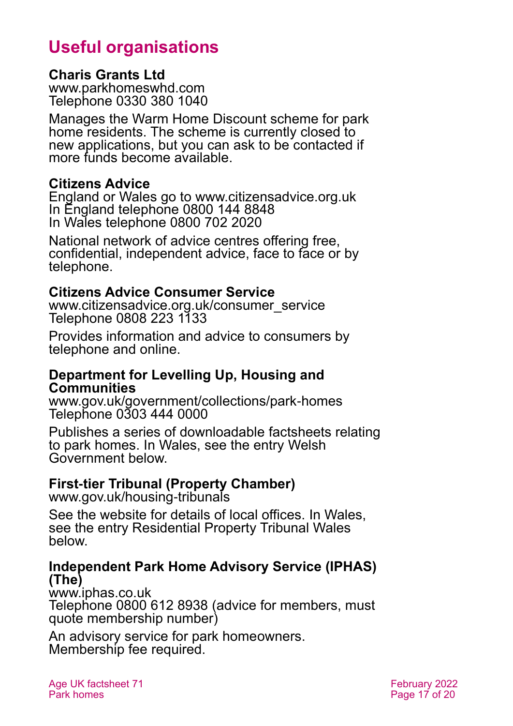# **Useful organisations**

#### <span id="page-16-0"></span>**Charis Grants Ltd**

[www.parkhomeswhd.com](http://www.parkhomeswhd.com/) Telephone 0330 380 1040

Manages the Warm Home Discount scheme for park home residents. The scheme is currently closed to new applications, but you can ask to be contacted if more funds become available.

#### **Citizens Advice**

England or Wales go to [www.citizensadvice.org.uk](http://www.citizensadvice.org.uk/) In England telephone 0800 144 8848 In Wales telephone 0800 702 2020

National network of advice centres offering free, confidential, independent advice, face to face or by telephone.

#### **Citizens Advice Consumer Service**

[www.citizensadvice.org.uk/consumer\\_service](http://www.citizensadvice.org.uk/consumer_service) Telephone 0808 223 1133

Provides information and advice to consumers by telephone and online.

#### **Department for Levelling Up, Housing and Communities**

[www.gov.uk/government/collections/park-homes](http://www.gov.uk/government/collections/park-homes) Telephone 0303 444 0000

Publishes a series of downloadable factsheets relating to park homes. In Wales, see the entry [Welsh](#page-17-1)  [Government](#page-17-1) below.

### <span id="page-16-1"></span>**First-tier Tribunal (Property Chamber)**

[www.gov.uk/housing-tribunals](http://www.gov.uk/housing-tribunals)

See the website for details of local offices. In Wales, see the entry [Residential Property Tribunal Wales](#page-17-0) below.

#### **Independent Park Home Advisory Service (IPHAS) (The)**

[www.iphas.co.uk](http://www.iphas.co.uk/) Telephone 0800 612 8938 (advice for members, must quote membership number)

An advisory service for park homeowners. Membership fee required.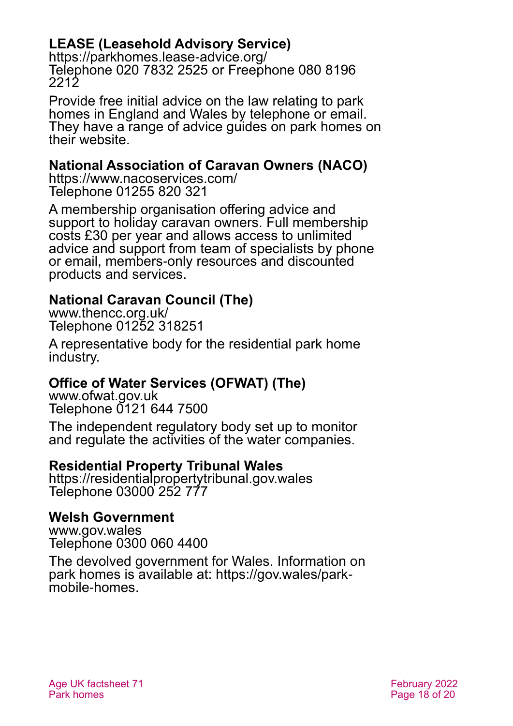### **LEASE (Leasehold Advisory Service)**

<https://parkhomes.lease-advice.org/> Telephone 020 7832 2525 or Freephone 080 8196 2212

Provide free initial advice on the law relating to park homes in England and Wales by telephone or email. They have a range of advice guides on park homes on their website.

#### **National Association of Caravan Owners (NACO)**

<https://www.nacoservices.com/> Telephone 01255 820 321

A membership organisation offering advice and support to holiday caravan owners. Full membership costs £30 per year and allows access to unlimited advice and support from team of specialists by phone or email, members-only resources and discounted products and services.

#### **National Caravan Council (The)**

[www.thencc.org.uk/](http://www.thencc.org.uk/) Telephone 01252 318251

A representative body for the residential park home industry.

#### **Office of Water Services (OFWAT) (The)**

[www.ofwat.gov.uk](http://www.ofwat.gov.uk/) Telephone 0121 644 7500

The independent regulatory body set up to monitor and regulate the activities of the water companies.

#### <span id="page-17-0"></span>**Residential Property Tribunal Wales**

[https://residentialpropertytribunal.gov.wales](https://residentialpropertytribunal.gov.wales/) Telephone 03000 252 777

#### <span id="page-17-1"></span>**Welsh Government**

[www.gov.wales](http://www.gov.wales/) Telephone 0300 060 4400

The devolved government for Wales. Information on park homes is available at: [https://gov.wales/park](https://gov.wales/park-mobile-homes)[mobile-homes.](https://gov.wales/park-mobile-homes)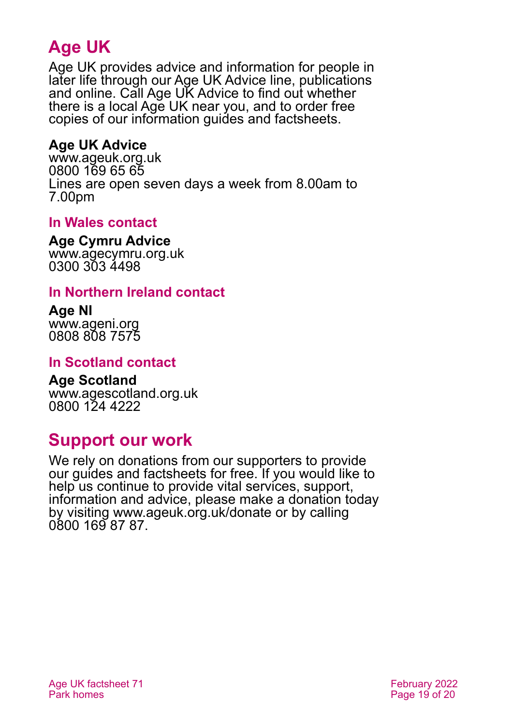# **Age UK**

Age UK provides advice and information for people in later life through our Age UK Advice line, publications and online. Call Age UK Advice to find out whether there is a local Age UK near you, and to order free copies of our information guides and factsheets.

#### <span id="page-18-1"></span>**Age UK Advice**

[www.ageuk.org.uk](http://www.ageuk.org.uk/) 0800 169 65 65 Lines are open seven days a week from 8.00am to 7.00pm

#### <span id="page-18-3"></span>**In Wales contact**

**Age Cymru Advice**

[www.agecymru.org.uk](http://www.agecymru.org.uk/) 0300 303 4498

#### <span id="page-18-0"></span>**In Northern Ireland contact**

**Age NI** [www.ageni.org](http://www.ageni.org/) 0808 808 7575

#### **In Scotland contact**

<span id="page-18-2"></span>**Age Scotland** [www.agescotland.org.uk](http://www.agescotland.org.uk/) 0800 124 4222

### **Support our work**

We rely on donations from our supporters to provide our guides and factsheets for free. If you would like to help us continue to provide vital services, support, information and advice, please make a donation today by visiting [www.ageuk.org.uk/donate](http://www.ageuk.org.uk/donate) or by calling 0800 169 87 87.